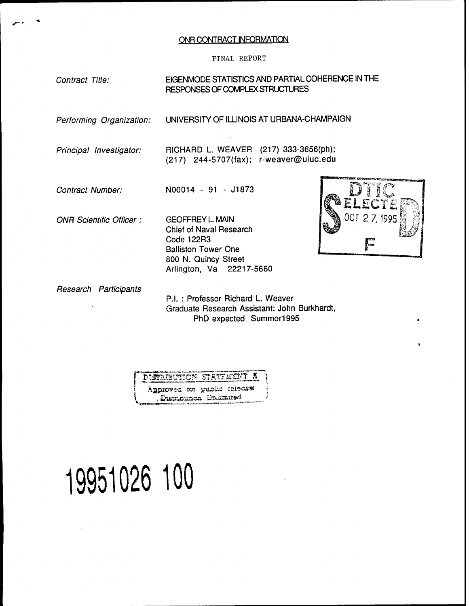#### ONR CONTRACT INFORMATION

#### FINAL REPORT

## *Contract Title:* EIGENMODE STATISTICS AND PARTIAL COHERENCE IN THE RESPONSES OF COMPLEX STRUCTURES

*Performing Organization:* UNIVERSITY OF ILLINOIS AT URBANA-CHAMPAIGN

*Principal Investigator:*

RICHARD L. WEAVER (217) 333-3656(ph); (217) 244-5707(fax); r-weaver@uiuc.edu

*Contract Number:*

N00014 - 91 - J1873

*ONR Scientific Officer*

GEOFFREY L MAIN Chief of Naval Research Code 122R3 Balliston Tower One 800 N. Quincy Street Arlington, Va 22217-5660



*Research Participants*

P.I. : Professor Richard L. Weaver Graduate Research Assistant: John Burkhardt, PhD expected Summer1995



# **19951026 100**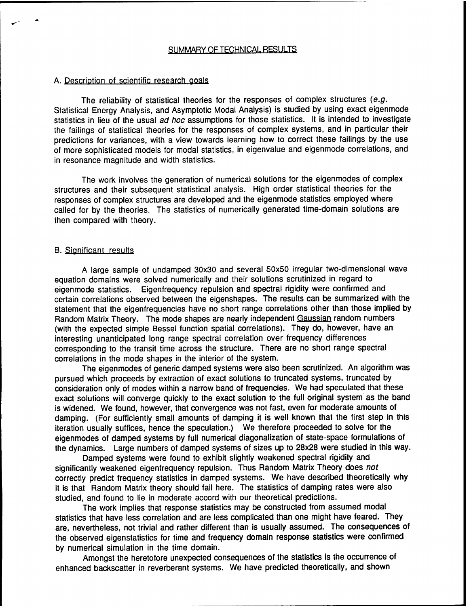#### A. Description of scientific research goals

The reliability of statistical theories for the responses of complex structures *(e.g.* Statistical Energy Analysis, and Asymptotic Modal Analysis) is studied by using exact eigenmode statistics in lieu of the usual *ad hoc* assumptions for those statistics. It is intended to investigate the failings of statistical theories for the responses of complex systems, and in particular their predictions for variances, with a view towards learning how to correct these failings by the use of more sophisticated models for modal statistics, in eigenvalue and eigenmode correlations, and in resonance magnitude and width statistics.

The work involves the generation of numerical solutions for the eigenmodes of complex structures and their subsequent statistical analysis. High order statistical theories for the responses of complex structures are developed and the eigenmode statistics employed where called for by the theories. The statistics of numerically generated time-domain solutions are then compared with theory.

#### B. Significant results

A large sample of undamped 30x30 and several 50x50 irregular two-dimensional wave equation domains were solved numerically and their solutions scrutinized in regard to eigenmode statistics. Eigenfrequency repulsion and spectral rigidity were confirmed and certain correlations observed between the eigenshapes. The results can be summarized with the statement that the eigenfrequencies have no short range correlations other than those implied by Random Matrix Theory. The mode shapes are nearly independent Gaussian random numbers (with the expected simple Bessel function spatial correlations). They do, however, have an interesting unanticipated long range spectral correlation over frequency differences corresponding to the transit time across the structure. There are no short range spectral correlations in the mode shapes in the interior of the system.

The eigenmodes of generic damped systems were also been scrutinized. An algorithm was pursued which proceeds by extraction of exact solutions to truncated systems, truncated by consideration only of modes within a narrow band of frequencies. We had speculated that these exact solutions will converge quickly to the exact solution to the full original system as the band is widened. We found, however, that convergence was not fast, even for moderate amounts of damping. (For sufficiently small amounts of damping it is well known that the first step in this iteration usually suffices, hence the speculation.) We therefore proceeded to solve for the eigenmodes of damped systems by full numerical diagonalization of state-space formulations of the dynamics. Large numbers of damped systems of sizes up to 28x28 were studied in this way.

Damped systems were found to exhibit slightly weakened spectral rigidity and significantly weakened eigenfrequency repulsion. Thus Random Matrix Theory does *not* correctly predict frequency statistics in damped systems. We have described theoretically why it is that Random Matrix theory should fail here. The statistics of damping rates were also studied, and found to lie in moderate accord with our theoretical predictions.

The work implies that response statistics may be constructed from assumed modal statistics that have less correlation and are less complicated than one might have feared. They are, nevertheless, not trivial and rather different than is usually assumed. The consequences of the observed eigenstatistics for time and frequency domain response statistics were confirmed by numerical simulation in the time domain.

Amongst the heretofore unexpected consequences of the statistics is the occurrence of enhanced backscatter in reverberant systems. We have predicted theoretically, and shown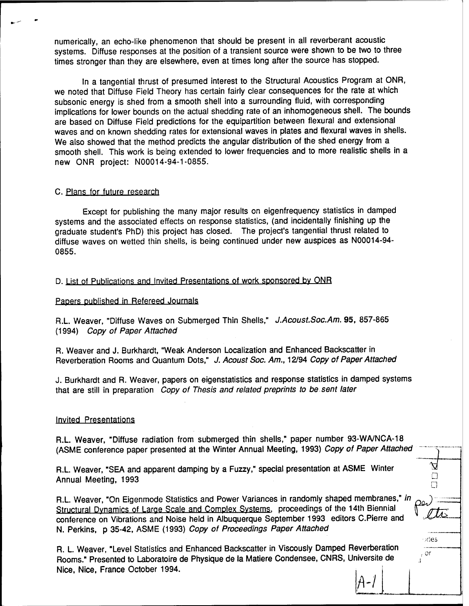numerically, an echo-like phenomenon that should be present in all reverberant acoustic systems. Diffuse responses at the position of a transient source were shown to be two to three times stronger than they are elsewhere, even at times long after the source has stopped.

In a tangential thrust of presumed interest to the Structural Acoustics Program at ONR, we noted that Diffuse Field Theory has certain fairly clear consequences for the rate at which subsonic energy is shed from a smooth shell into a surrounding fluid, with corresponding implications for lower bounds on the actual shedding rate of an inhomogeneous shell. The bounds are based on Diffuse Field predictions for the equipartition between flexural and extensional waves and on known shedding rates for extensional waves in plates and flexural waves in shells. We also showed that the method predicts the angular distribution of the shed energy from a smooth shell. This work is being extended to lower frequencies and to more realistic shells in a new ONR project: N00014-94-1-0855.

#### **c. Plans for future research**

Except for publishing the many major results on eigenfrequency statistics in damped systems and the associated effects on response statistics, (and incidentally finishing up the graduate student's PhD) this project has closed. The project's tangential thrust related to diffuse waves on wetted thin shells, is being continued under new auspices as N00014-94- 0855.

#### P. List of Publications and Invited Presentations of work sponsored bv ONR

#### Papers published in Refereed Journals

R.L. Weaver, "Diffuse Waves on Submerged Thin Shells," *J.Acoust.Soc.Am.* 95, 857-865 (1994) *Copy of Paper Attached*

R. Weaver and J. Burkhardt, "Weak Anderson Localization and Enhanced Backscatter in Reverberation Rooms and Quantum Dots," J. Acoust Soc. Am., 12/94 Copy of Paper Attached

J. Burkhardt and R. Weaver, papers on eigenstatistics and response statistics in damped systems that are still in preparation *Copy of Thesis and related preprints to be sent later*

#### Invited Presentations

R.L. Weaver, "Diffuse radiation from submerged thin shells," paper number 93-WA/NCA-18 (ASME conference paper presented at the Winter Annual Meeting, 1993) *Copy of Paper Attached*

R.L. Weaver, "SEA and apparent damping by a Fuzzy," special presentation at ASME Winter Annual Meeting, 1993  $\Box$ 

R.L. Weaver, "On Eigenmode Statistics and Power Variances in randomly shaped membranes," *in*  $_{O2}$ . Structural Dynamics of Large Scale and Complex Systems, proceedings of the 14th Biennial conference on Vibrations and Noise held in Albuquerque September 1993 editors C.Pierre and \*\*\* N. Perkins, p 35-42, ASME (1993) *Copy of Proceedings Paper Attached*

R. L Weaver, "Level Statistics and Enhanced Backscatter in Viscously Damped Reverberation Rooms." Presented to Laboratoire de Physique de la Matiere Condensee, CNRS, Universite de Nice, Nice, France October 1994.

**,• or** <u>A-1</u>

 $\mathcal{I}$ is -

A

**;es**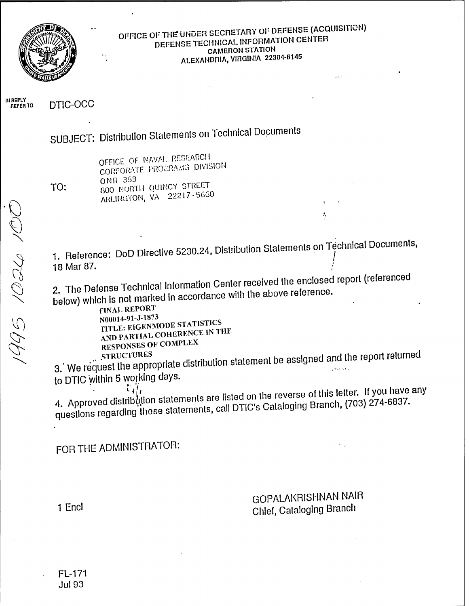

# OFFICE OF THE UNDER SECRETARY OF DEFENSE (ACQUISITION) DEFENSE TECHNICAL INFORMATION CENTER **CAMERON STATION** ALEXANDRIA, VIRGINIA 22304-6145

IN REPLY<br>REFER TO DTIC-OCC

SUBJECT: Distribution Statements on Technical Documents

TO:

OFFICE OF NAVAL RESEARCH CORPORATE PROGRAMS DIVISION ONR 353 800 NORTH QUINCY STREET ARLINGTON, VA 22217-5660

1. Reference: DoD Directive 5230.24, Distribution Statements on Technical Documents, 18 Mar 87.

2. The Defense Technical Information Center received the enclosed report (referenced below) which is not marked in accordance with the above reference.

**FINAL REPORT** N00014-91-J-1873 TITLE: EIGENMODE STATISTICS AND PARTIAL COHERENCE IN THE **RESPONSES OF COMPLEX** 

3. We request the appropriate distribution statement be assigned and the report returned to DTIC within 5 working days.

4. Approved distribution statements are listed on the reverse of this letter. If you have any questions regarding these statements, call DTIC's Cataloging Branch, (703) 274-6837.

FOR THE ADMINISTRATOR:

**GOPALAKRISHNAN NAIR** Chief, Cataloging Branch

ł,

1 Encl

FL-171 **Jul 93**